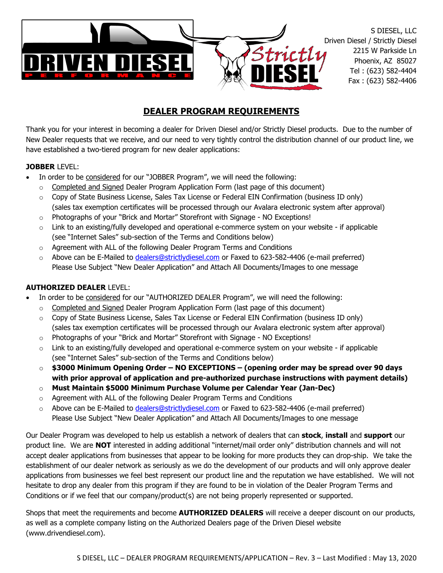

# **DEALER PROGRAM REQUIREMENTS**

Thank you for your interest in becoming a dealer for Driven Diesel and/or Strictly Diesel products. Due to the number of New Dealer requests that we receive, and our need to very tightly control the distribution channel of our product line, we have established a two-tiered program for new dealer applications:

#### **JOBBER** LEVEL:

- In order to be considered for our "JOBBER Program", we will need the following:
	- $\circ$  Completed and Signed Dealer Program Application Form (last page of this document)
	- $\circ$  Copy of State Business License, Sales Tax License or Federal EIN Confirmation (business ID only) (sales tax exemption certificates will be processed through our Avalara electronic system after approval)
	- $\circ$  Photographs of your "Brick and Mortar" Storefront with Signage NO Exceptions!
	- $\circ$  Link to an existing/fully developed and operational e-commerce system on your website if applicable (see "Internet Sales" sub-section of the Terms and Conditions below)
	- o Agreement with ALL of the following Dealer Program Terms and Conditions
	- o Above can be E-Mailed to [dealers@strictlydiesel.com](mailto:dealers@strictlydiesel.com) or Faxed to 623-582-4406 (e-mail preferred) Please Use Subject "New Dealer Application" and Attach All Documents/Images to one message

#### **AUTHORIZED DEALER** LEVEL:

- In order to be considered for our "AUTHORIZED DEALER Program", we will need the following:
	- o Completed and Signed Dealer Program Application Form (last page of this document)
	- o Copy of State Business License, Sales Tax License or Federal EIN Confirmation (business ID only) (sales tax exemption certificates will be processed through our Avalara electronic system after approval)
	- $\circ$  Photographs of your "Brick and Mortar" Storefront with Signage NO Exceptions!
	- $\circ$  Link to an existing/fully developed and operational e-commerce system on your website if applicable (see "Internet Sales" sub-section of the Terms and Conditions below)
	- o **\$3000 Minimum Opening Order – NO EXCEPTIONS – (opening order may be spread over 90 days with prior approval of application and pre-authorized purchase instructions with payment details)**
	- o **Must Maintain \$5000 Minimum Purchase Volume per Calendar Year (Jan-Dec)**
	- o Agreement with ALL of the following Dealer Program Terms and Conditions
	- o Above can be E-Mailed to [dealers@strictlydiesel.com](mailto:dealers@strictlydiesel.com) or Faxed to 623-582-4406 (e-mail preferred) Please Use Subject "New Dealer Application" and Attach All Documents/Images to one message

Our Dealer Program was developed to help us establish a network of dealers that can **stock**, **install** and **support** our product line. We are **NOT** interested in adding additional "internet/mail order only" distribution channels and will not accept dealer applications from businesses that appear to be looking for more products they can drop-ship. We take the establishment of our dealer network as seriously as we do the development of our products and will only approve dealer applications from businesses we feel best represent our product line and the reputation we have established. We will not hesitate to drop any dealer from this program if they are found to be in violation of the Dealer Program Terms and Conditions or if we feel that our company/product(s) are not being properly represented or supported.

Shops that meet the requirements and become **AUTHORIZED DEALERS** will receive a deeper discount on our products, as well as a complete company listing on the Authorized Dealers page of the Driven Diesel website (www.drivendiesel.com).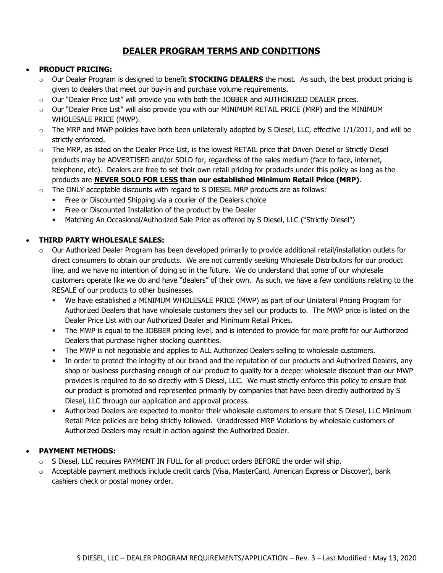# **DEALER PROGRAM TERMS AND CONDITIONS**

### • **PRODUCT PRICING:**

- o Our Dealer Program is designed to benefit **STOCKING DEALERS** the most. As such, the best product pricing is given to dealers that meet our buy-in and purchase volume requirements.
- o Our "Dealer Price List" will provide you with both the JOBBER and AUTHORIZED DEALER prices.
- $\circ$  Our "Dealer Price List" will also provide you with our MINIMUM RETAIL PRICE (MRP) and the MINIMUM WHOLESALE PRICE (MWP).
- $\circ$  The MRP and MWP policies have both been unilaterally adopted by S Diesel, LLC, effective 1/1/2011, and will be strictly enforced.
- o The MRP, as listed on the Dealer Price List, is the lowest RETAIL price that Driven Diesel or Strictly Diesel products may be ADVERTISED and/or SOLD for, regardless of the sales medium (face to face, internet, telephone, etc). Dealers are free to set their own retail pricing for products under this policy as long as the products are **NEVER SOLD FOR LESS than our established Minimum Retail Price (MRP)**.
- $\circ$  The ONLY acceptable discounts with regard to S DIESEL MRP products are as follows:
	- **Free or Discounted Shipping via a courier of the Dealers choice**
	- Free or Discounted Installation of the product by the Dealer
	- Matching An Occasional/Authorized Sale Price as offered by S Diesel, LLC ("Strictly Diesel")

## • **THIRD PARTY WHOLESALE SALES:**

- $\circ$  Our Authorized Dealer Program has been developed primarily to provide additional retail/installation outlets for direct consumers to obtain our products. We are not currently seeking Wholesale Distributors for our product line, and we have no intention of doing so in the future. We do understand that some of our wholesale customers operate like we do and have "dealers" of their own. As such, we have a few conditions relating to the RESALE of our products to other businesses.
	- We have established a MINIMUM WHOLESALE PRICE (MWP) as part of our Unilateral Pricing Program for Authorized Dealers that have wholesale customers they sell our products to. The MWP price is listed on the Dealer Price List with our Authorized Dealer and Minimum Retail Prices.
	- The MWP is equal to the JOBBER pricing level, and is intended to provide for more profit for our Authorized Dealers that purchase higher stocking quantities.
	- The MWP is not negotiable and applies to ALL Authorized Dealers selling to wholesale customers.
	- In order to protect the integrity of our brand and the reputation of our products and Authorized Dealers, any shop or business purchasing enough of our product to qualify for a deeper wholesale discount than our MWP provides is required to do so directly with S Diesel, LLC. We must strictly enforce this policy to ensure that our product is promoted and represented primarily by companies that have been directly authorized by S Diesel, LLC through our application and approval process.
	- Authorized Dealers are expected to monitor their wholesale customers to ensure that S Diesel, LLC Minimum Retail Price policies are being strictly followed. Unaddressed MRP Violations by wholesale customers of Authorized Dealers may result in action against the Authorized Dealer.

## • **PAYMENT METHODS:**

- o S Diesel, LLC requires PAYMENT IN FULL for all product orders BEFORE the order will ship.
- o Acceptable payment methods include credit cards (Visa, MasterCard, American Express or Discover), bank cashiers check or postal money order.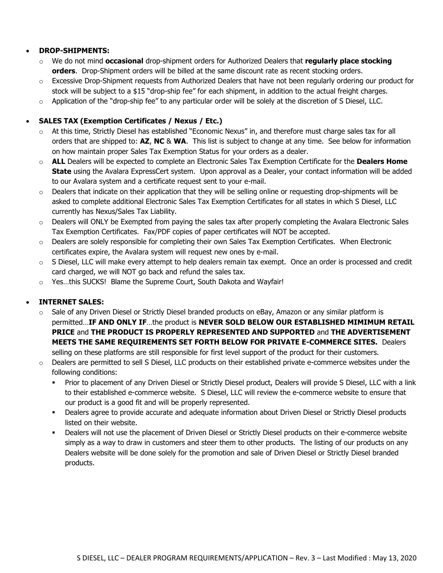#### • **DROP-SHIPMENTS:**

- o We do not mind **occasional** drop-shipment orders for Authorized Dealers that **regularly place stocking orders**. Drop-Shipment orders will be billed at the same discount rate as recent stocking orders.
- $\circ$  Excessive Drop-Shipment requests from Authorized Dealers that have not been regularly ordering our product for stock will be subject to a \$15 "drop-ship fee" for each shipment, in addition to the actual freight charges.
- $\circ$  Application of the "drop-ship fee" to any particular order will be solely at the discretion of S Diesel, LLC.

#### • **SALES TAX (Exemption Certificates / Nexus / Etc.)**

- o At this time, Strictly Diesel has established "Economic Nexus" in, and therefore must charge sales tax for all orders that are shipped to: **AZ**, **NC** & **WA**. This list is subject to change at any time. See below for information on how maintain proper Sales Tax Exemption Status for your orders as a dealer.
- o **ALL** Dealers will be expected to complete an Electronic Sales Tax Exemption Certificate for the **Dealers Home State** using the Avalara ExpressCert system. Upon approval as a Dealer, your contact information will be added to our Avalara system and a certificate request sent to your e-mail.
- $\circ$  Dealers that indicate on their application that they will be selling online or requesting drop-shipments will be asked to complete additional Electronic Sales Tax Exemption Certificates for all states in which S Diesel, LLC currently has Nexus/Sales Tax Liability.
- $\circ$  Dealers will ONLY be Exempted from paying the sales tax after properly completing the Avalara Electronic Sales Tax Exemption Certificates. Fax/PDF copies of paper certificates will NOT be accepted.
- o Dealers are solely responsible for completing their own Sales Tax Exemption Certificates. When Electronic certificates expire, the Avalara system will request new ones by e-mail.
- $\circ$  S Diesel, LLC will make every attempt to help dealers remain tax exempt. Once an order is processed and credit card charged, we will NOT go back and refund the sales tax.
- o Yes…this SUCKS! Blame the Supreme Court, South Dakota and Wayfair!

#### • **INTERNET SALES:**

- $\circ$  Sale of any Driven Diesel or Strictly Diesel branded products on eBay, Amazon or any similar platform is permitted…**IF AND ONLY IF**…the product is **NEVER SOLD BELOW OUR ESTABLISHED MIMIMUM RETAIL PRICE** and **THE PRODUCT IS PROPERLY REPRESENTED AND SUPPORTED** and **THE ADVERTISEMENT MEETS THE SAME REQUIREMENTS SET FORTH BELOW FOR PRIVATE E-COMMERCE SITES.** Dealers selling on these platforms are still responsible for first level support of the product for their customers.
- $\circ$  Dealers are permitted to sell S Diesel, LLC products on their established private e-commerce websites under the following conditions:
	- Prior to placement of any Driven Diesel or Strictly Diesel product, Dealers will provide S Diesel, LLC with a link to their established e-commerce website. S Diesel, LLC will review the e-commerce website to ensure that our product is a good fit and will be properly represented.
	- Dealers agree to provide accurate and adequate information about Driven Diesel or Strictly Diesel products listed on their website.
	- Dealers will not use the placement of Driven Diesel or Strictly Diesel products on their e-commerce website simply as a way to draw in customers and steer them to other products. The listing of our products on any Dealers website will be done solely for the promotion and sale of Driven Diesel or Strictly Diesel branded products.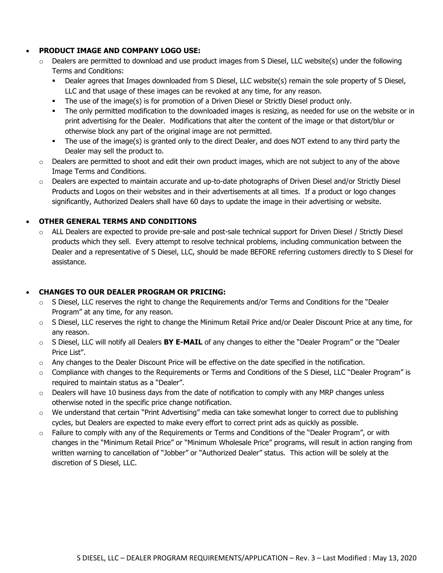#### • **PRODUCT IMAGE AND COMPANY LOGO USE:**

- $\circ$  Dealers are permitted to download and use product images from S Diesel, LLC website(s) under the following Terms and Conditions:
	- Dealer agrees that Images downloaded from S Diesel, LLC website(s) remain the sole property of S Diesel, LLC and that usage of these images can be revoked at any time, for any reason.
	- The use of the image(s) is for promotion of a Driven Diesel or Strictly Diesel product only.
	- The only permitted modification to the downloaded images is resizing, as needed for use on the website or in print advertising for the Dealer. Modifications that alter the content of the image or that distort/blur or otherwise block any part of the original image are not permitted.
	- The use of the image(s) is granted only to the direct Dealer, and does NOT extend to any third party the Dealer may sell the product to.
- $\circ$  Dealers are permitted to shoot and edit their own product images, which are not subject to any of the above Image Terms and Conditions.
- $\circ$  Dealers are expected to maintain accurate and up-to-date photographs of Driven Diesel and/or Strictly Diesel Products and Logos on their websites and in their advertisements at all times. If a product or logo changes significantly, Authorized Dealers shall have 60 days to update the image in their advertising or website.

### • **OTHER GENERAL TERMS AND CONDITIONS**

o ALL Dealers are expected to provide pre-sale and post-sale technical support for Driven Diesel / Strictly Diesel products which they sell. Every attempt to resolve technical problems, including communication between the Dealer and a representative of S Diesel, LLC, should be made BEFORE referring customers directly to S Diesel for assistance.

### • **CHANGES TO OUR DEALER PROGRAM OR PRICING:**

- $\circ$  S Diesel, LLC reserves the right to change the Requirements and/or Terms and Conditions for the "Dealer Program" at any time, for any reason.
- o S Diesel, LLC reserves the right to change the Minimum Retail Price and/or Dealer Discount Price at any time, for any reason.
- o S Diesel, LLC will notify all Dealers **BY E-MAIL** of any changes to either the "Dealer Program" or the "Dealer Price List".
- $\circ$  Any changes to the Dealer Discount Price will be effective on the date specified in the notification.
- $\circ$  Compliance with changes to the Requirements or Terms and Conditions of the S Diesel, LLC "Dealer Program" is required to maintain status as a "Dealer".
- $\circ$  Dealers will have 10 business days from the date of notification to comply with any MRP changes unless otherwise noted in the specific price change notification.
- o We understand that certain "Print Advertising" media can take somewhat longer to correct due to publishing cycles, but Dealers are expected to make every effort to correct print ads as quickly as possible.
- $\circ$  Failure to comply with any of the Requirements or Terms and Conditions of the "Dealer Program", or with changes in the "Minimum Retail Price" or "Minimum Wholesale Price" programs, will result in action ranging from written warning to cancellation of "Jobber" or "Authorized Dealer" status. This action will be solely at the discretion of S Diesel, LLC.